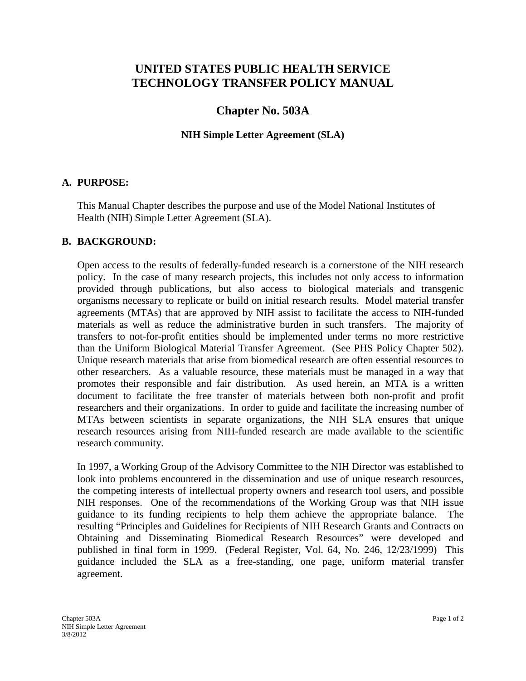# **UNITED STATES PUBLIC HEALTH SERVICE TECHNOLOGY TRANSFER POLICY MANUAL**

# **Chapter No. 503A**

#### **NIH Simple Letter Agreement (SLA)**

#### **A. PURPOSE:**

This Manual Chapter describes the purpose and use of the Model National Institutes of Health (NIH) Simple Letter Agreement (SLA).

### **B. BACKGROUND:**

Open access to the results of federally-funded research is a cornerstone of the NIH research policy. In the case of many research projects, this includes not only access to information provided through publications, but also access to biological materials and transgenic organisms necessary to replicate or build on initial research results. Model material transfer agreements (MTAs) that are approved by NIH assist to facilitate the access to NIH-funded materials as well as reduce the administrative burden in such transfers. The majority of transfers to not-for-profit entities should be implemented under terms no more restrictive than the Uniform Biological Material Transfer Agreement. (See PHS Policy Chapter 502). Unique research materials that arise from biomedical research are often essential resources to other researchers. As a valuable resource, these materials must be managed in a way that promotes their responsible and fair distribution. As used herein, an MTA is a written document to facilitate the free transfer of materials between both non-profit and profit researchers and their organizations. In order to guide and facilitate the increasing number of MTAs between scientists in separate organizations, the NIH SLA ensures that unique research resources arising from NIH-funded research are made available to the scientific research community.

In 1997, a Working Group of the Advisory Committee to the NIH Director was established to look into problems encountered in the dissemination and use of unique research resources, the competing interests of intellectual property owners and research tool users, and possible NIH responses. One of the recommendations of the Working Group was that NIH issue guidance to its funding recipients to help them achieve the appropriate balance. The resulting "Principles and Guidelines for Recipients of NIH Research Grants and Contracts on Obtaining and Disseminating Biomedical Research Resources" were developed and published in final form in 1999. (Federal Register, Vol. 64, No. 246, 12/23/1999) This guidance included the SLA as a free-standing, one page, uniform material transfer agreement.